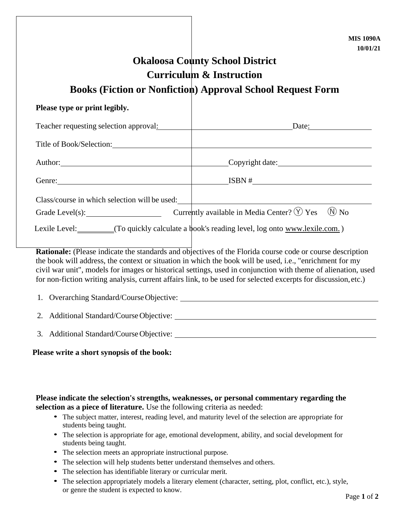## **Okaloosa County School District Curriculum & Instruction Books (Fiction or Nonfiction) Approval School Request Form**

| Please type or print legibly.                                                                                    |                                                       |  |
|------------------------------------------------------------------------------------------------------------------|-------------------------------------------------------|--|
| Teacher requesting selection approval:                                                                           |                                                       |  |
| Title of Book/Selection:                                                                                         |                                                       |  |
|                                                                                                                  | Copyright date:                                       |  |
|                                                                                                                  | $ISBN # \_\_$                                         |  |
| Class/course in which selection will be used:                                                                    |                                                       |  |
|                                                                                                                  | Currently available in Media Center? (Y) Yes $(N)$ No |  |
| Lexile Level: (To quickly calculate a book's reading level, log onto www.lexile.com.)                            |                                                       |  |
|                                                                                                                  |                                                       |  |
| <b>Rationale:</b> (Please indicate the standards and objectives of the Florida course code or course description |                                                       |  |
| the book will address, the context or situation in which the book will be used, i.e., "enrichment for my         |                                                       |  |

civil war unit", models for images or historical settings, used in conjunction with theme of alienation, used for non-fiction writing analysis, current affairs link, to be used for selected excerpts for discussion, etc.)

- 1. Overarching Standard/CourseObjective:
- 2. Additional Standard/Course Objective:
- 3. Additional Standard/CourseObjective:

## **Please write a short synopsis of the book:**

**Please indicate the selection's strengths, weaknesses, or personal commentary regarding the selection as a piece of literature.** Use the following criteria as needed:

- The subject matter, interest, reading level, and maturity level of the selection are appropriate for students being taught.
- The selection is appropriate for age, emotional development, ability, and social development for students being taught.
- The selection meets an appropriate instructional purpose.
- The selection will help students better understand themselves and others.
- The selection has identifiable literary or curricular merit.
- The selection appropriately models a literary element (character, setting, plot, conflict, etc.), style, or genre the student is expected to know.